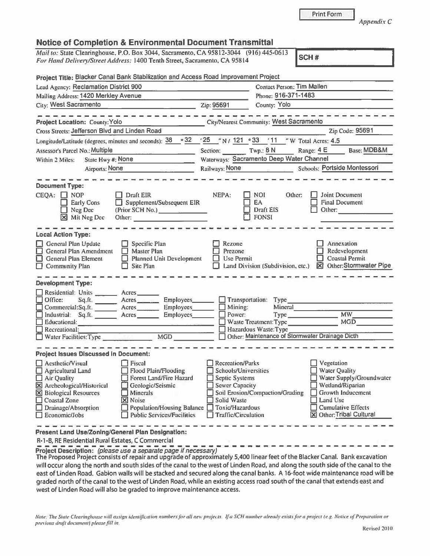|  | <b>Print Form</b> |  |  |  |
|--|-------------------|--|--|--|
|  |                   |  |  |  |

Appendix C

Base: MDB&M

| Mail to: State Clearinghouse, P.O. Box 3044, Sacramento, CA 95812-3044 (916) 445-0613<br>For Hand Delivery/Street Address: 1400 Tenth Street, Sacramento, CA 95814 |                                            |                                               | SCH#                                                               |  |
|--------------------------------------------------------------------------------------------------------------------------------------------------------------------|--------------------------------------------|-----------------------------------------------|--------------------------------------------------------------------|--|
| Project Title: Blacker Canal Bank Stabilization and Access Road Improvement Project                                                                                |                                            |                                               |                                                                    |  |
| Lead Agency: Reclamation District 900                                                                                                                              |                                            |                                               | Contact Person: Tim Mallen                                         |  |
| Mailing Address: 1420 Merkley Avenue                                                                                                                               |                                            | Phone: 916-371-1483                           |                                                                    |  |
| City: West Sacramento                                                                                                                                              | Zip: 95691                                 | County: Yolo                                  |                                                                    |  |
| Project Location: County: Yolo                                                                                                                                     |                                            | City/Nearest Community: West Sacramento       |                                                                    |  |
| Cross Streets: Jefferson Blvd and Linden Road                                                                                                                      |                                            |                                               | Zip Code: 95691                                                    |  |
| Longitude/Latitude (degrees, minutes and seconds): 38                                                                                                              | 032 25 "N / 121 033 11 "W Total Acres: 4.5 |                                               |                                                                    |  |
| Assessor's Parcel No.: Multiple                                                                                                                                    |                                            |                                               | Base: MDB<br>Section: Twp.: 8 N Range: 4 E                         |  |
| Within 2 Miles: State Hwy #: None                                                                                                                                  | Waterways: Sacramento Deep Water Channel   |                                               |                                                                    |  |
| Airports: None                                                                                                                                                     |                                            |                                               | Railways: None Schools: Portside Montessori                        |  |
| <b>Document Type:</b><br>$CEQA: \Box NOP$<br>Draft EIR<br>Supplement/Subsequent EIR<br><b>Early Cons</b><br>Neg Dec<br>(Prior SCH No.)<br>X Mit Neg Dec            | NEPA:                                      | <b>NOI</b><br>EA<br>Draft EIS<br><b>FONSI</b> | <b>Joint Document</b><br>Other:<br><b>Final Document</b><br>Other: |  |
| <b>Local Action Type:</b><br>$\Box$ and $\Box$                                                                                                                     | $ -$                                       |                                               | <b>THE PRODUCTION OF STREET</b>                                    |  |

| <b>Document Type:</b><br>$CEQA: \Box NOP$<br><b>Early Cons</b><br>Neg Dec<br>⊠<br>Mit Neg Dec                                                                                                                    | Draft EIR<br>Supplement/Subsequent EIR<br>(Prior SCH No.)                                                                                                                                                                                                                                                                                                                                                                                                                   | NEPA:<br><b>NOI</b><br>Other:<br>EA<br>Draft EIS<br><b>FONSI</b>                                                                                                    | Joint Document<br><b>Final Document</b><br>Other: The Contract of the Contract of the Contract of the Contract of the Contract of the Contract of the Contract of the Contract of the Contract of the Contract of the Contract of the Contract of the Contract of the Con |        |           |                   |        |           |             |        |        |           |             |        |        |           |              |        |             |                                                                                                                                                              |           |
|------------------------------------------------------------------------------------------------------------------------------------------------------------------------------------------------------------------|-----------------------------------------------------------------------------------------------------------------------------------------------------------------------------------------------------------------------------------------------------------------------------------------------------------------------------------------------------------------------------------------------------------------------------------------------------------------------------|---------------------------------------------------------------------------------------------------------------------------------------------------------------------|---------------------------------------------------------------------------------------------------------------------------------------------------------------------------------------------------------------------------------------------------------------------------|--------|-----------|-------------------|--------|-----------|-------------|--------|--------|-----------|-------------|--------|--------|-----------|--------------|--------|-------------|--------------------------------------------------------------------------------------------------------------------------------------------------------------|-----------|
| <b>Local Action Type:</b><br>General Plan Update<br>$\Box$ General Plan Amendment<br>$\Box$ General Plan Element<br>$\Box$ Community Plan                                                                        | Specific Plan<br><b>Master Plan</b><br><b>Planned Unit Development</b><br>Site Plan                                                                                                                                                                                                                                                                                                                                                                                         | Rezone<br>Prezone<br>Use Permit<br>Land Division (Subdivision, etc.)                                                                                                | Annexation<br>Redevelopment<br><b>Coastal Permit</b><br><b>X</b> Other:Stormwater Pipe                                                                                                                                                                                    |        |           |                   |        |           |             |        |        |           |             |        |        |           |              |        |             |                                                                                                                                                              |           |
| <b>Development Type:</b>                                                                                                                                                                                         |                                                                                                                                                                                                                                                                                                                                                                                                                                                                             |                                                                                                                                                                     |                                                                                                                                                                                                                                                                           |        |           |                   |        |           |             |        |        |           |             |        |        |           |              |        |             |                                                                                                                                                              |           |
| Residential: Units ________ Acres ______<br>Recreational:<br>Water Facilities: Type                                                                                                                              | <table>\n<tbody>\n<tr>\n<th>Office:</th>\n<th>Sq.ft.</th>\n<th>Exress</th>\n<th>Employees</th>\n</tr>\n<tr>\n<td>Commerican:Sq.ft.</td>\n<td>Exress</td>\n<td>Employees</td>\n</tr>\n<tr>\n<td>Industrial:</td>\n<td>Sq.ft.</td>\n<td>Exress</td>\n<td>Employees</td>\n</tr>\n<tr>\n<td>Industrial:</td>\n<td>Sq.ft.</td>\n<td>Exress</td>\n<td>Employees</td>\n</tr>\n<tr>\n<td>Educational:</td>\n<td>Excess</td>\n<td>Exrophoyees</td>\n</tr>\n</tbody>\n</table><br>MGD | Office:                                                                                                                                                             | Sq.ft.                                                                                                                                                                                                                                                                    | Exress | Employees | Commerican:Sq.ft. | Exress | Employees | Industrial: | Sq.ft. | Exress | Employees | Industrial: | Sq.ft. | Exress | Employees | Educational: | Excess | Exrophoyees | Mineral<br>$\Box$ Mining:<br>$\Box$ Power:<br>$Type \_$<br>Waste Treatment: Type<br>Hazardous Waste: Type<br>Other: Maintenance of Stormwater Drainage Dicth | MW<br>MGD |
| Office:                                                                                                                                                                                                          | Sq.ft.                                                                                                                                                                                                                                                                                                                                                                                                                                                                      | Exress                                                                                                                                                              | Employees                                                                                                                                                                                                                                                                 |        |           |                   |        |           |             |        |        |           |             |        |        |           |              |        |             |                                                                                                                                                              |           |
| Commerican:Sq.ft.                                                                                                                                                                                                | Exress                                                                                                                                                                                                                                                                                                                                                                                                                                                                      | Employees                                                                                                                                                           |                                                                                                                                                                                                                                                                           |        |           |                   |        |           |             |        |        |           |             |        |        |           |              |        |             |                                                                                                                                                              |           |
| Industrial:                                                                                                                                                                                                      | Sq.ft.                                                                                                                                                                                                                                                                                                                                                                                                                                                                      | Exress                                                                                                                                                              | Employees                                                                                                                                                                                                                                                                 |        |           |                   |        |           |             |        |        |           |             |        |        |           |              |        |             |                                                                                                                                                              |           |
| Industrial:                                                                                                                                                                                                      | Sq.ft.                                                                                                                                                                                                                                                                                                                                                                                                                                                                      | Exress                                                                                                                                                              | Employees                                                                                                                                                                                                                                                                 |        |           |                   |        |           |             |        |        |           |             |        |        |           |              |        |             |                                                                                                                                                              |           |
| Educational:                                                                                                                                                                                                     | Excess                                                                                                                                                                                                                                                                                                                                                                                                                                                                      | Exrophoyees                                                                                                                                                         |                                                                                                                                                                                                                                                                           |        |           |                   |        |           |             |        |        |           |             |        |        |           |              |        |             |                                                                                                                                                              |           |
| <b>Project Issues Discussed in Document:</b>                                                                                                                                                                     |                                                                                                                                                                                                                                                                                                                                                                                                                                                                             |                                                                                                                                                                     |                                                                                                                                                                                                                                                                           |        |           |                   |        |           |             |        |        |           |             |        |        |           |              |        |             |                                                                                                                                                              |           |
| $\Box$ Aesthetic/Visual<br>$\Box$ Agricultural Land<br>$\Box$ Air Quality<br>X Archeological/Historical<br><b>X</b> Biological Resources<br>□ Coastal Zone<br>$\Box$ Drainage/Absorption<br>$\Box$ Economic/Jobs | <b>Fiscal</b><br>Flood Plain/Flooding<br>Forest Land/Fire Hazard<br>Geologic/Seismic<br>Minerals<br>X Noise<br>Population/Housing Balance Coxic/Hazardous<br><b>Public Services/Facilities</b>                                                                                                                                                                                                                                                                              | <b>Recreation/Parks</b><br>Schools/Universities<br>Septic Systems<br><b>Sewer Capacity</b><br>Soil Erosion/Compaction/Grading<br>Solid Waste<br>Traffic/Circulation | Vegetation<br><b>Water Quality</b><br>Water Supply/Groundwater<br>Wetland/Riparian<br>Growth Inducement<br>Land Use<br><b>Cumulative Effects</b><br><b>X</b> Other: Tribal Cultural                                                                                       |        |           |                   |        |           |             |        |        |           |             |        |        |           |              |        |             |                                                                                                                                                              |           |
| Present Land Use/Zoning/General Plan Designation:                                                                                                                                                                |                                                                                                                                                                                                                                                                                                                                                                                                                                                                             |                                                                                                                                                                     |                                                                                                                                                                                                                                                                           |        |           |                   |        |           |             |        |        |           |             |        |        |           |              |        |             |                                                                                                                                                              |           |

R-1-B, RE Residential Rural Estates, C Commercial

Project Description: (please use a separate page if necessary)

The Proposed Project consists of repair and upgrade of approximately 5,400 linear feet of the Blacker Canal. Bank excavation will occur along the north and south sides of the canal to the west of Linden Road, and along the south side of the canal to the east of Linden Road. Gabion walls will be stacked and secured along the canal banks. A 16-foot wide maintenance road will be graded north of the canal to the west of Linden Road, while an existing access road south of the canal that extends east and west of Linden Road will also be graded to improve maintenance access.

Note: The State Clearinghouse will assign identification numbers for all new projects. If a SCH number already exists for a project (e.g. Notice of Preparation or previous draft document) please fill in.